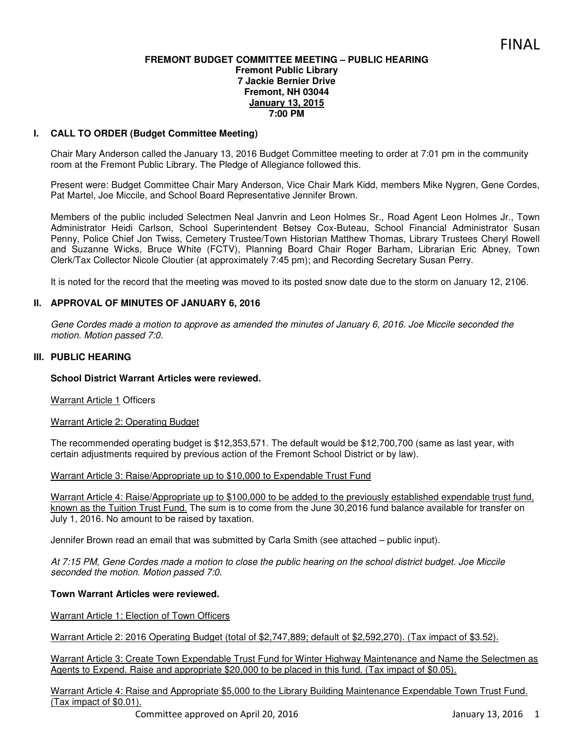## **FREMONT BUDGET COMMITTEE MEETING – PUBLIC HEARING Fremont Public Library 7 Jackie Bernier Drive Fremont, NH 03044 January 13, 2015 7:00 PM**

# **I. CALL TO ORDER (Budget Committee Meeting)**

Chair Mary Anderson called the January 13, 2016 Budget Committee meeting to order at 7:01 pm in the community room at the Fremont Public Library. The Pledge of Allegiance followed this.

Present were: Budget Committee Chair Mary Anderson, Vice Chair Mark Kidd, members Mike Nygren, Gene Cordes, Pat Martel, Joe Miccile, and School Board Representative Jennifer Brown.

Members of the public included Selectmen Neal Janvrin and Leon Holmes Sr., Road Agent Leon Holmes Jr., Town Administrator Heidi Carlson, School Superintendent Betsey Cox-Buteau, School Financial Administrator Susan Penny, Police Chief Jon Twiss, Cemetery Trustee/Town Historian Matthew Thomas, Library Trustees Cheryl Rowell and Suzanne Wicks, Bruce White (FCTV), Planning Board Chair Roger Barham, Librarian Eric Abney, Town Clerk/Tax Collector Nicole Cloutier (at approximately 7:45 pm); and Recording Secretary Susan Perry.

It is noted for the record that the meeting was moved to its posted snow date due to the storm on January 12, 2106.

## **II. APPROVAL OF MINUTES OF JANUARY 6, 2016**

*Gene Cordes made a motion to approve as amended the minutes of January 6, 2016. Joe Miccile seconded the motion. Motion passed 7:0.* 

## **III. PUBLIC HEARING**

## **School District Warrant Articles were reviewed.**

Warrant Article 1 Officers

Warrant Article 2: Operating Budget

The recommended operating budget is \$12,353,571. The default would be \$12,700,700 (same as last year, with certain adjustments required by previous action of the Fremont School District or by law).

## Warrant Article 3: Raise/Appropriate up to \$10,000 to Expendable Trust Fund

Warrant Article 4: Raise/Appropriate up to \$100,000 to be added to the previously established expendable trust fund, known as the Tuition Trust Fund. The sum is to come from the June 30,2016 fund balance available for transfer on July 1, 2016. No amount to be raised by taxation.

Jennifer Brown read an email that was submitted by Carla Smith (see attached – public input).

*At 7:15 PM, Gene Cordes made a motion to close the public hearing on the school district budget. Joe Miccile seconded the motion. Motion passed 7:0.* 

## **Town Warrant Articles were reviewed.**

Warrant Article 1: Election of Town Officers

Warrant Article 2: 2016 Operating Budget (total of \$2,747,889; default of \$2,592,270). (Tax impact of \$3.52).

Warrant Article 3: Create Town Expendable Trust Fund for Winter Highway Maintenance and Name the Selectmen as Agents to Expend. Raise and appropriate \$20,000 to be placed in this fund. (Tax impact of \$0.05).

Warrant Article 4: Raise and Appropriate \$5,000 to the Library Building Maintenance Expendable Town Trust Fund. (Tax impact of \$0.01).

Committee approved on April 20, 2016 January 13, 2016 1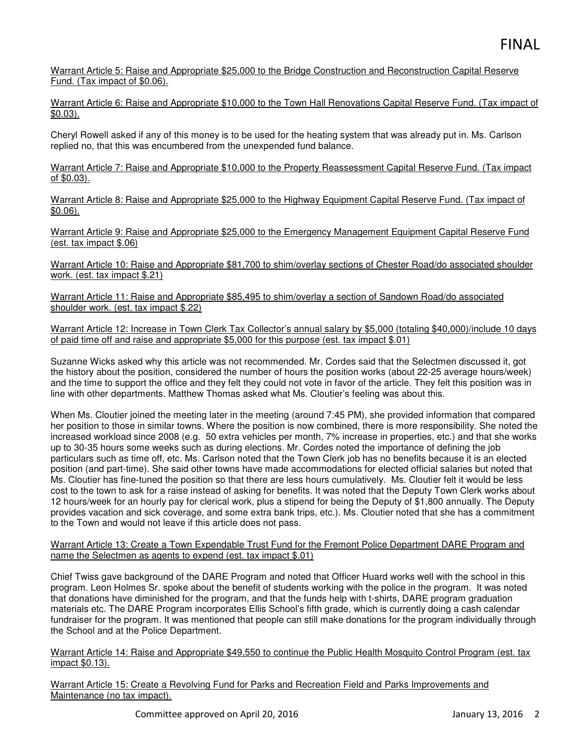Warrant Article 5: Raise and Appropriate \$25,000 to the Bridge Construction and Reconstruction Capital Reserve Fund. (Tax impact of \$0.06).

Warrant Article 6: Raise and Appropriate \$10,000 to the Town Hall Renovations Capital Reserve Fund. (Tax impact of  $\overline{20.03}$ .

Cheryl Rowell asked if any of this money is to be used for the heating system that was already put in. Ms. Carlson replied no, that this was encumbered from the unexpended fund balance.

Warrant Article 7: Raise and Appropriate \$10,000 to the Property Reassessment Capital Reserve Fund. (Tax impact of \$0.03).

Warrant Article 8: Raise and Appropriate \$25,000 to the Highway Equipment Capital Reserve Fund. (Tax impact of \$0.06).

Warrant Article 9: Raise and Appropriate \$25,000 to the Emergency Management Equipment Capital Reserve Fund (est. tax impact \$.06)

Warrant Article 10: Raise and Appropriate \$81,700 to shim/overlay sections of Chester Road/do associated shoulder work. (est. tax impact \$.21)

Warrant Article 11: Raise and Appropriate \$85,495 to shim/overlay a section of Sandown Road/do associated shoulder work. (est. tax impact \$.22)

Warrant Article 12: Increase in Town Clerk Tax Collector's annual salary by \$5,000 (totaling \$40,000)/include 10 days of paid time off and raise and appropriate \$5,000 for this purpose (est. tax impact \$.01)

Suzanne Wicks asked why this article was not recommended. Mr. Cordes said that the Selectmen discussed it, got the history about the position, considered the number of hours the position works (about 22-25 average hours/week) and the time to support the office and they felt they could not vote in favor of the article. They felt this position was in line with other departments. Matthew Thomas asked what Ms. Cloutier's feeling was about this.

When Ms. Cloutier joined the meeting later in the meeting (around 7:45 PM), she provided information that compared her position to those in similar towns. Where the position is now combined, there is more responsibility. She noted the increased workload since 2008 (e.g. 50 extra vehicles per month, 7% increase in properties, etc.) and that she works up to 30-35 hours some weeks such as during elections. Mr. Cordes noted the importance of defining the job particulars such as time off, etc. Ms. Carlson noted that the Town Clerk job has no benefits because it is an elected position (and part-time). She said other towns have made accommodations for elected official salaries but noted that Ms. Cloutier has fine-tuned the position so that there are less hours cumulatively. Ms. Cloutier felt it would be less cost to the town to ask for a raise instead of asking for benefits. It was noted that the Deputy Town Clerk works about 12 hours/week for an hourly pay for clerical work, plus a stipend for being the Deputy of \$1,800 annually. The Deputy provides vacation and sick coverage, and some extra bank trips, etc.). Ms. Cloutier noted that she has a commitment to the Town and would not leave if this article does not pass.

Warrant Article 13: Create a Town Expendable Trust Fund for the Fremont Police Department DARE Program and name the Selectmen as agents to expend (est. tax impact \$.01)

Chief Twiss gave background of the DARE Program and noted that Officer Huard works well with the school in this program. Leon Holmes Sr. spoke about the benefit of students working with the police in the program. It was noted that donations have diminished for the program, and that the funds help with t-shirts, DARE program graduation materials etc. The DARE Program incorporates Ellis School's fifth grade, which is currently doing a cash calendar fundraiser for the program. It was mentioned that people can still make donations for the program individually through the School and at the Police Department.

Warrant Article 14: Raise and Appropriate \$49,550 to continue the Public Health Mosquito Control Program (est. tax impact \$0.13).

Warrant Article 15: Create a Revolving Fund for Parks and Recreation Field and Parks Improvements and Maintenance (no tax impact).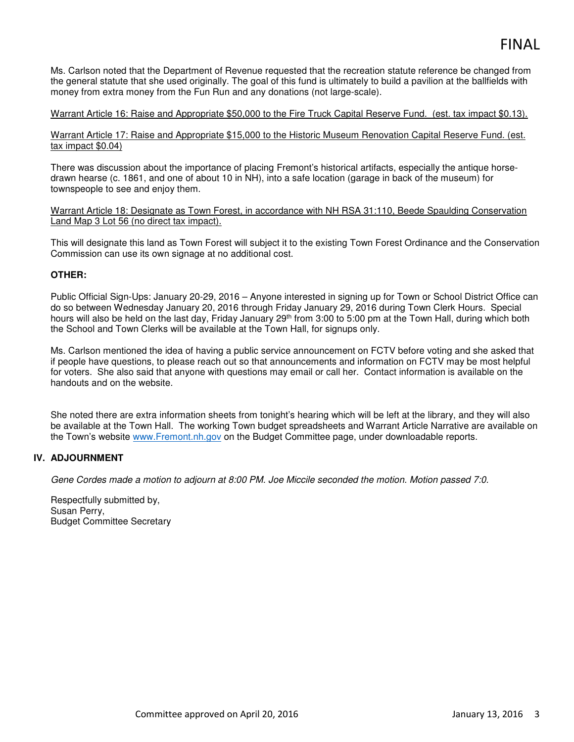# FINAL

Ms. Carlson noted that the Department of Revenue requested that the recreation statute reference be changed from the general statute that she used originally. The goal of this fund is ultimately to build a pavilion at the ballfields with money from extra money from the Fun Run and any donations (not large-scale).

## Warrant Article 16: Raise and Appropriate \$50,000 to the Fire Truck Capital Reserve Fund. (est. tax impact \$0.13).

Warrant Article 17: Raise and Appropriate \$15,000 to the Historic Museum Renovation Capital Reserve Fund. (est. tax impact \$0.04)

There was discussion about the importance of placing Fremont's historical artifacts, especially the antique horsedrawn hearse (c. 1861, and one of about 10 in NH), into a safe location (garage in back of the museum) for townspeople to see and enjoy them.

Warrant Article 18: Designate as Town Forest, in accordance with NH RSA 31:110, Beede Spaulding Conservation Land Map 3 Lot 56 (no direct tax impact).

This will designate this land as Town Forest will subject it to the existing Town Forest Ordinance and the Conservation Commission can use its own signage at no additional cost.

## **OTHER:**

Public Official Sign-Ups: January 20-29, 2016 – Anyone interested in signing up for Town or School District Office can do so between Wednesday January 20, 2016 through Friday January 29, 2016 during Town Clerk Hours. Special hours will also be held on the last day, Friday January 29<sup>th</sup> from 3:00 to 5:00 pm at the Town Hall, during which both the School and Town Clerks will be available at the Town Hall, for signups only.

Ms. Carlson mentioned the idea of having a public service announcement on FCTV before voting and she asked that if people have questions, to please reach out so that announcements and information on FCTV may be most helpful for voters. She also said that anyone with questions may email or call her. Contact information is available on the handouts and on the website.

She noted there are extra information sheets from tonight's hearing which will be left at the library, and they will also be available at the Town Hall. The working Town budget spreadsheets and Warrant Article Narrative are available on the Town's website www.Fremont.nh.gov on the Budget Committee page, under downloadable reports.

# **IV. ADJOURNMENT**

*Gene Cordes made a motion to adjourn at 8:00 PM. Joe Miccile seconded the motion. Motion passed 7:0.*

Respectfully submitted by, Susan Perry, Budget Committee Secretary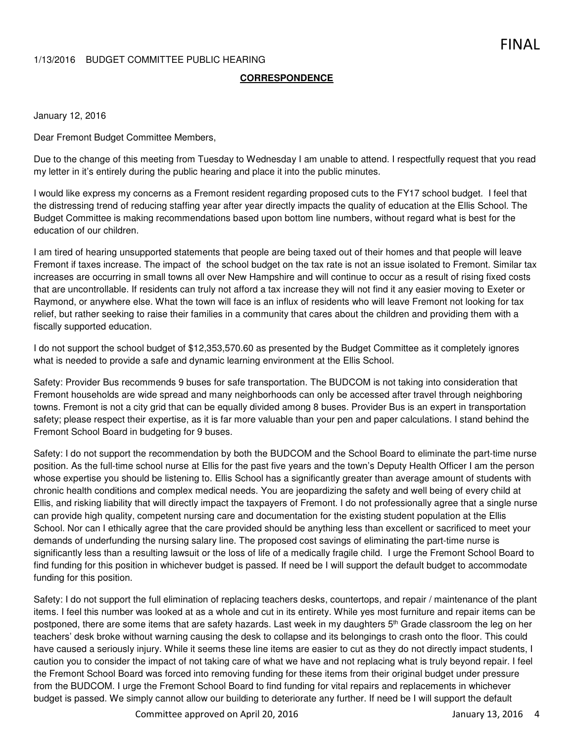## 1/13/2016 BUDGET COMMITTEE PUBLIC HEARING

## **CORRESPONDENCE**

## January 12, 2016

Dear Fremont Budget Committee Members,

Due to the change of this meeting from Tuesday to Wednesday I am unable to attend. I respectfully request that you read my letter in it's entirely during the public hearing and place it into the public minutes.

I would like express my concerns as a Fremont resident regarding proposed cuts to the FY17 school budget. I feel that the distressing trend of reducing staffing year after year directly impacts the quality of education at the Ellis School. The Budget Committee is making recommendations based upon bottom line numbers, without regard what is best for the education of our children.

I am tired of hearing unsupported statements that people are being taxed out of their homes and that people will leave Fremont if taxes increase. The impact of the school budget on the tax rate is not an issue isolated to Fremont. Similar tax increases are occurring in small towns all over New Hampshire and will continue to occur as a result of rising fixed costs that are uncontrollable. If residents can truly not afford a tax increase they will not find it any easier moving to Exeter or Raymond, or anywhere else. What the town will face is an influx of residents who will leave Fremont not looking for tax relief, but rather seeking to raise their families in a community that cares about the children and providing them with a fiscally supported education.

I do not support the school budget of \$12,353,570.60 as presented by the Budget Committee as it completely ignores what is needed to provide a safe and dynamic learning environment at the Ellis School.

Safety: Provider Bus recommends 9 buses for safe transportation. The BUDCOM is not taking into consideration that Fremont households are wide spread and many neighborhoods can only be accessed after travel through neighboring towns. Fremont is not a city grid that can be equally divided among 8 buses. Provider Bus is an expert in transportation safety; please respect their expertise, as it is far more valuable than your pen and paper calculations. I stand behind the Fremont School Board in budgeting for 9 buses.

Safety: I do not support the recommendation by both the BUDCOM and the School Board to eliminate the part-time nurse position. As the full-time school nurse at Ellis for the past five years and the town's Deputy Health Officer I am the person whose expertise you should be listening to. Ellis School has a significantly greater than average amount of students with chronic health conditions and complex medical needs. You are jeopardizing the safety and well being of every child at Ellis, and risking liability that will directly impact the taxpayers of Fremont. I do not professionally agree that a single nurse can provide high quality, competent nursing care and documentation for the existing student population at the Ellis School. Nor can I ethically agree that the care provided should be anything less than excellent or sacrificed to meet your demands of underfunding the nursing salary line. The proposed cost savings of eliminating the part-time nurse is significantly less than a resulting lawsuit or the loss of life of a medically fragile child. I urge the Fremont School Board to find funding for this position in whichever budget is passed. If need be I will support the default budget to accommodate funding for this position.

Safety: I do not support the full elimination of replacing teachers desks, countertops, and repair / maintenance of the plant items. I feel this number was looked at as a whole and cut in its entirety. While yes most furniture and repair items can be postponed, there are some items that are safety hazards. Last week in my daughters 5<sup>th</sup> Grade classroom the leg on her teachers' desk broke without warning causing the desk to collapse and its belongings to crash onto the floor. This could have caused a seriously injury. While it seems these line items are easier to cut as they do not directly impact students, I caution you to consider the impact of not taking care of what we have and not replacing what is truly beyond repair. I feel the Fremont School Board was forced into removing funding for these items from their original budget under pressure from the BUDCOM. I urge the Fremont School Board to find funding for vital repairs and replacements in whichever budget is passed. We simply cannot allow our building to deteriorate any further. If need be I will support the default